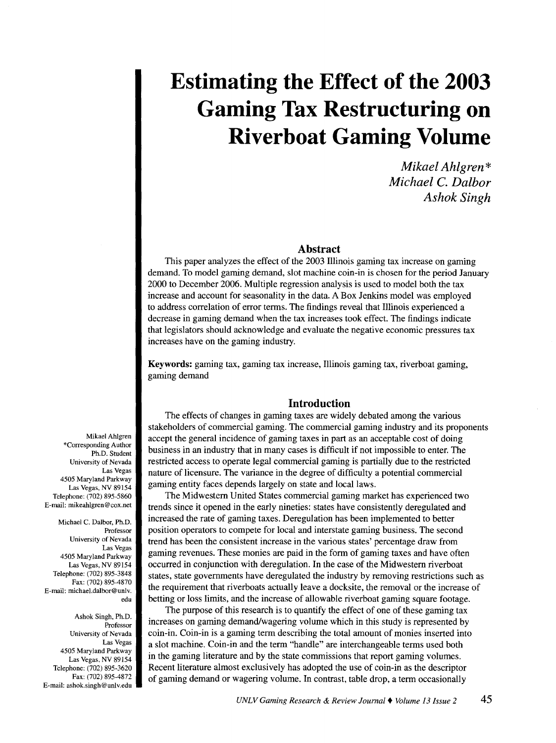# **Estimating the Effect of the 2003 Gaming Tax Restructuring on Riverboat Gaming Volume**

*Mikael Ahlgren\* Michael C. Dalbor Ashok Singh* 

# **Abstract**

This paper analyzes the effect of the 2003 Illinois gaming tax increase on gaming demand. To model gaming demand, slot machine coin-in is chosen for the period January 2000 to December 2006. Multiple regression analysis is used to model both the tax increase and account for seasonality in the data. A Box Jenkins model was employed to address correlation of error terms. The findings reveal that Illinois experienced a decrease in gaming demand when the tax increases took effect. The findings indicate that legislators should acknowledge and evaluate the negative economic pressures tax increases have on the gaming industry.

Keywords: gaming tax, gaming tax increase, Illinois gaming tax, riverboat gaming, gaming demand

# **Introduction**

The effects of changes in gaming taxes are widely debated among the various stakeholders of commercial gaming. The commercial gaming industry and its proponents accept the general incidence of gaming taxes in part as an acceptable cost of doing business in an industry that in many cases is difficult if not impossible to enter. The restricted access to operate legal commercial gaming is partially due to the restricted nature of licensure. The variance in the degree of difficulty a potential commercial gaming entity faces depends largely on state and local laws.

The Midwestern United States commercial gaming market has experienced two trends since it opened in the early nineties: states have consistently deregulated and increased the rate of gaming taxes. Deregulation has been implemented to better position operators to compete for local and interstate gaming business. The second trend has been the consistent increase in the various states' percentage draw from gaming revenues. These monies are paid in the form of gaming taxes and have often occurred in conjunction with deregulation. In the case of the Midwestern riverboat states, state governments have deregulated the industry by removing restrictions such as the requirement that riverboats actually leave a docksite, the removal or the increase of betting or loss limits, and the increase of allowable riverboat gaming square footage.

The purpose of this research is to quantify the effect of one of these gaming tax increases on gaming demand/wagering volume which in this study is represented by coin-in. Coin-in is a gaming term describing the total amount of monies inserted into a slot machine. Coin-in and the term "handle" are interchangeable terms used both in the gaming literature and by the state commissions that report gaming volumes. Recent literature almost exclusively has adopted the use of coin-in as the descriptor of gaming demand or wagering volume. In contrast, table drop, a term occasionally

Mikael Ahlgren \*Corresponding Author Ph.D. Student University of Nevada Las Vegas 4505 Maryland Parkway Las Vegas, NV 89154 Telephone: (702) 895-5860 E-mail: mikeahlgren@cox.net

Michael C. Dalbor, Ph.D. Professor University of Nevada Las Vegas 4505 Maryland Parkway Las Vegas, NV 89154 Telephone: (702) 895-3848 Fax: (702) 895-4870 E-mail: michael.dalbor@unlv. edu

Ashok Singh, Ph.D. Professor University of Nevada Las Vegas 4505 Maryland Parkway Las Vegas, NV 89154 Telephone: (702) 895-3620 Fax: (702) 895-4872 E-mail: ashok.singh@unlv.edu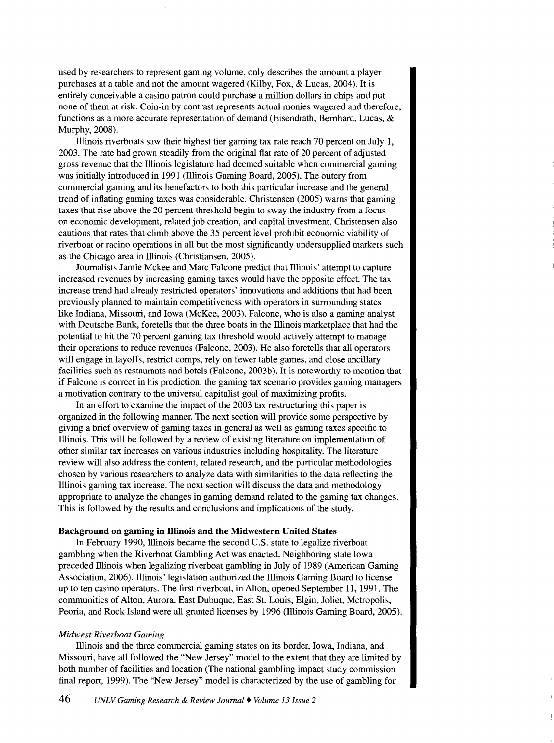used by researchers to represent gaming volume, only describes the amount a player purchases at a table and not the amount wagered (Kilby, Fox, & Lucas, 2004). It is entirely conceivable a casino patron could purchase a million dollars in chips and put none of them at risk. Coin-in by contrast represents actual monies wagered and therefore, functions as a more accurate representation of demand (Eisendrath, Bernhard, Lucas, & Murphy, 2008).

Illinois riverboats saw their highest tier gaming tax rate reach 70 percent on July 1, 2003. The rate had grown steadily from the original flat rate of 20 percent of adjusted gross revenue that the Illinois legislature had deemed suitable when commercial gaming was initially introduced in 1991 (Illinois Gaming Board, 2005). The outcry from commercial gaming and its benefactors to both this particular increase and the general trend of inflating gaming taxes was considerable. Christensen (2005) warns that gaming taxes that rise above the 20 percent threshold begin to sway the industry from a focus on economic development, related job creation, and capital investment. Christensen also cautions that rates that climb above the 35 percent level prohibit economic viability of riverboat or racino operations in all but the most significantly undersupplied markets such as the Chicago area in Illinois (Christiansen, 2005).

Journalists Jamie Mckee and Marc Falcone predict that Illinois' attempt to capture increased revenues by increasing gaming taxes would have the opposite effect. The tax increase trend had already restricted operators' innovations and additions that had been previously planned to maintain competitiveness with operators in surrounding states like Indiana, Missouri, and Iowa (McKee, 2003). Falcone, who is also a gaming analyst with Deutsche Bank, foretells that the three boats in the Illinois marketplace that had the potential to hit the 70 percent gaming tax threshold would actively attempt to manage their operations to reduce revenues (Falcone, 2003). He also foretells that all operators will engage in layoffs, restrict comps, rely on fewer table games, and close ancillary facilities such as restaurants and hotels (Falcone, 2003b). It is noteworthy to mention that if Falcone is correct in his prediction, the gaming tax scenario provides gaming managers a motivation contrary to the universal capitalist goal of maximizing profits.

In an effort to examine the impact of the 2003 tax restructuring this paper is organized in the following manner. The next section will provide some perspective by giving a brief overview of gaming taxes in general as well as gaming taxes specific to Illinois. This will be followed by a review of existing literature on implementation of other similar tax increases on various industries including hospitality. The literature review will also address the content, related research, and the particular methodologies chosen by various researchers to analyze data with similarities to the data reflecting the Illinois gaming tax increase. The next section will discuss the data and methodology appropriate to analyze the changes in gaming demand related to the gaming tax changes. This is followed by the results and conclusions and implications of the study.

#### **Background on gaming in lllinois and the Midwestern United States**

In February 1990, Illinois became the second U.S. state to legalize riverboat gambling when the Riverboat Gambling Act was enacted. Neighboring state Iowa preceded Illinois when legalizing riverboat gambling in July of 1989 (American Gaming Association, 2006). Illinois' legislation authorized the Illinois Gaming Board to license up to ten casino operators. The first riverboat, in Alton, opened September 11, 1991. The communities of Alton, Aurora, East Dubuque, East St. Louis, Elgin, Joliet, Metropolis, Peoria, and Rock Island were all granted licenses by 1996 (Illinois Gaming Board, 2005).

#### *Midwest Riverboat Gaming*

Illinois and the three commercial gaming states on its border, Iowa, Indiana, and Missouri, have all followed the "New Jersey" model to the extent that they are limited by both number of facilities and location (The national gambling impact study commission final report, 1999). The "New Jersey" model is characterized by the use of gambling for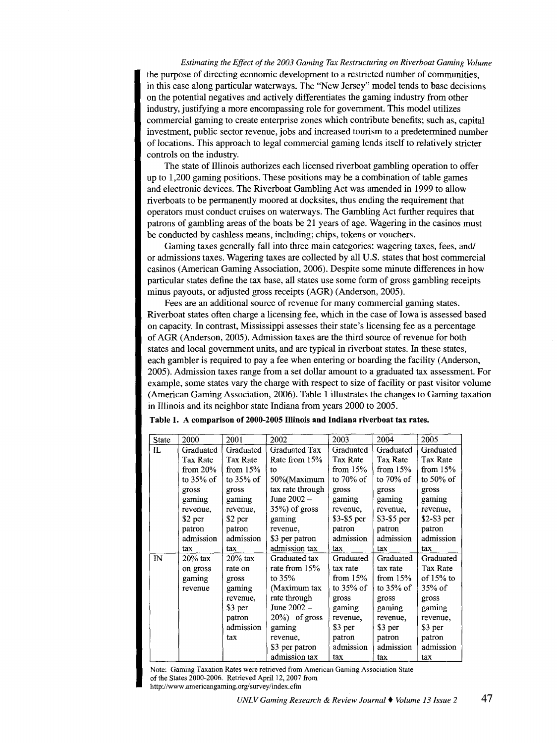*Estimating the Effect of the 2003 Gaming Tax Restructuring on Riverboat Gaming Volume*  the purpose of directing economic development to a restricted number of communities, in this case along particular waterways. The "New Jersey" model tends to base decisions on the potential negatives and actively differentiates the gaming industry from other industry, justifying a more encompassing role for government. This model utilizes commercial gaming to create enterprise zones which contribute benefits; such as, capital investment, public sector revenue, jobs and increased tourism to a predetermined number of locations. This approach to legal commercial gaming lends itself to relatively stricter controls on the industry.

The state of Illinois authorizes each licensed riverboat gambling operation to offer up to 1,200 gaming positions. These positions may be a combination of table games and electronic devices. The Riverboat Gambling Act was amended in 1999 to allow riverboats to be permanently moored at docksites, thus ending the requirement that operators must conduct cruises on waterways. The Gambling Act further requires that patrons of gambling areas of the boats be 21 years of age. Wagering in the casinos must be conducted by cashless means, including; chips, tokens or vouchers.

Gaming taxes generally fall into three main categories: wagering taxes, fees, and/ or admissions taxes. Wagering taxes are collected by all U.S. states that host commercial casinos (American Gaming Association, 2006). Despite some minute differences in how particular states define the tax base, all states use some form of gross gambling receipts minus payouts, or adjusted gross receipts (AGR) (Anderson, 2005).

Fees are an additional source of revenue for many commercial gaming states. Riverboat states often charge a licensing fee, which in the case of Iowa is assessed based on capacity. In contrast, Mississippi assesses their state's licensing fee as a percentage of AGR (Anderson, 2005). Admission taxes are the third source of revenue for both states and local government units, and are typical in riverboat states. In these states, each gambler is required to pay a fee when entering or boarding the facility (Anderson, 2005). Admission taxes range from a set dollar amount to a graduated tax assessment. For example, some states vary the charge with respect to size of facility or past visitor volume (American Gaming Association, 2006). Table 1 illustrates the changes to Gaming taxation in Illinois and its neighbor state Indiana from years 2000 to 2005.

| <b>State</b> | 2000         | 2001         | 2002              | 2003         | 2004         | 2005         |
|--------------|--------------|--------------|-------------------|--------------|--------------|--------------|
| IL           | Graduated    | Graduated    | Graduated Tax     | Graduated    | Graduated    | Graduated    |
|              | Tax Rate     | Tax Rate     | Rate from 15%     | Tax Rate     | Tax Rate     | Tax Rate     |
|              | from $20%$   | from $15%$   | to                | from $15%$   | from $15%$   | from $15%$   |
|              | to $35\%$ of | to $35\%$ of | 50%(Maximum       | to $70\%$ of | to $70\%$ of | to $50\%$ of |
|              | gross        | gross        | tax rate through  | gross        | gross        | gross        |
|              | gaming       | gaming       | June 2002 -       | gaming       | gaming       | gaming       |
|              | revenue,     | revenue.     | $35\%$ ) of gross | revenue,     | revenue,     | revenue,     |
|              | \$2 per      | \$2 per      | gaming            | $$3-$5 per$  | \$3-\$5 per  | $$2-$3 per$  |
|              | patron       | patron       | revenue,          | patron       | patron       | patron       |
|              | admission    | admission    | \$3 per patron    | admission    | admission    | admission    |
|              | tax          | tax          | admission tax     | tax          | tax          | tax          |
| $\mathbf{N}$ | $20\%$ tax   | $20\%$ tax   | Graduated tax     | Graduated    | Graduated    | Graduated    |
|              | on gross     | rate on      | rate from 15%     | tax rate     | tax rate     | Tax Rate     |
|              | gaming       | gross        | to $35%$          | from $15%$   | from $15%$   | of $15%$ to  |
|              | revenue      | gaming       | (Maximum tax      | to $35\%$ of | to $35\%$ of | $35\%$ of    |
|              |              | revenue,     | rate through      | gross        | gross        | gross        |
|              |              | \$3 per      | June 2002 -       | gaming       | gaming       | gaming       |
|              |              | patron       | $20\%$ ) of gross | revenue,     | revenue,     | revenue,     |
|              |              | admission    | gaming            | \$3 per      | \$3 per      | \$3 per      |
|              |              | tax          | revenue,          | patron       | patron       | patron       |
|              |              |              | \$3 per patron    | admission    | admission    | admission    |
|              |              |              | admission tax     | tax          | tax          | tax          |

Table 1. A comparison of 2000-2005 Illinois and Indiana riverboat tax rates.

Note: Gaming Taxation Rates were retrieved from American Gaming Association State of the States 2000-2006. Retrieved April 12, 2007 from http://www.americangaming.org/survey/index.cfm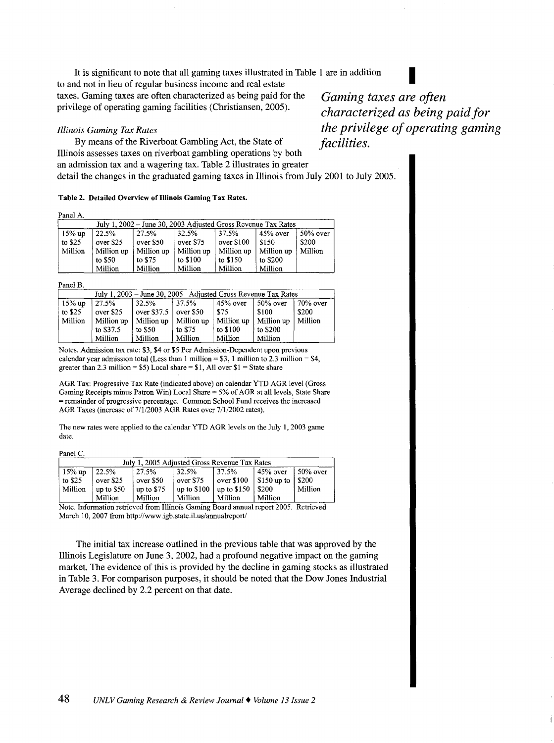It is significant to note that all gaming taxes illustrated in Table 1 are in addition to and not in lieu of regular business income and real estate taxes. Gaming taxes are often characterized as being paid for the privilege of operating gaming facilities (Christiansen, 2005).

#### *Illinois Gaming Tax Rates*

By means of the Riverboat Gambling Act, the State of Illinois assesses taxes on riverboat gambling operations by both an admission tax and a wagering tax. Table 2 illustrates in greater detail the changes in the graduated gaming taxes in Illinois from July 2001 to July 2005.

#### Table 2. Detailed Overview of Illinois Gaming Tax Rates.

Panel A

| July 1, 2002 - June 30, 2003 Adjusted Gross Revenue Tax Rates |            |            |                                     |            |            |                       |
|---------------------------------------------------------------|------------|------------|-------------------------------------|------------|------------|-----------------------|
| $15\%$ up                                                     | 22.5%      | 27.5%      | 32.5%                               | 37.5%      | $45%$ over | $\frac{150\%}{}$ over |
| to $$25$                                                      | over \$25  | over \$50  | $\sqrt{\overline{\text{over }375}}$ | over \$100 | $1$ \$1.50 | \$200                 |
| Million                                                       | Million up | Million up | Million up                          | Million up | Million up | Million               |
|                                                               | to \$50    | to \$75    | to \$100                            | to $$150$  | to \$200   |                       |
|                                                               | Million    | Million    | Million                             | Million    | Million    |                       |

Panel B.

| July 1, 2003 – June 30, 2005 Adjusted Gross Revenue Tax Rates |                    |                                      |            |            |                    |             |
|---------------------------------------------------------------|--------------------|--------------------------------------|------------|------------|--------------------|-------------|
| $15\%$ up                                                     | 127.5%             | 32.5%                                | 37.5%      | 45% over   | $150\%$ over       | $70\%$ over |
| to $$25$                                                      | over \$25          | $over$ s37.5 $\frac{1}{2}$ over \$50 |            | l \$75     | \$100              | \$200       |
| Million                                                       | $\vert$ Million up | Million up                           | Million up | Million up | $\vert$ Million up | Million     |
|                                                               | to \$37.5          | to $$50$                             | to \$75    | to \$100   | to \$200           |             |
|                                                               | Million            | Million                              | Million    | Million    | Million            |             |

Notes. Admission tax rate: \$3, \$4 or \$5 Per Admission-Dependent upon previous calendar year admission total (Less than 1 million =  $$3$ , 1 million to 2.3 million =  $$4$ , greater than 2.3 million =  $$5)$  Local share =  $$1,$  All over  $$1$  = State share

AGR Tax: Progressive Tax Rate (indicated above) on calendar YTD AGR level (Gross Gaming Receipts minus Patron Win) Local Share = 5% of AGR at all levels, State Share =remainder of progressive percentage. Common School Fund receives the increased AGR Taxes (increase of 7/1/2003 AGR Rates over 7/1/2002 rates).

The new rates were applied to the calendar YTD AGR levels on the July 1, 2003 game date.

Panel C

| July 1, 2005 Adjusted Gross Revenue Tax Rates |               |             |                                         |                       |                                           |                        |
|-----------------------------------------------|---------------|-------------|-----------------------------------------|-----------------------|-------------------------------------------|------------------------|
| $15\%$ up                                     | 122.5%        | 127.5%      | 32.5%                                   | 137.5%                | $45%$ over                                | $\frac{150\%}{ }$ over |
| to $$25$                                      | over \$25     | $over$ s50  | over \$75                               | $\sqrt{ }$ over \$100 | $\frac{1}{2}$ \$150 up to $\frac{1}{200}$ |                        |
| Million                                       | $\mu$ to \$50 | up to $$75$ | $\vert$ up to \$100 $\vert$ up to \$150 |                       | $1$ \$200                                 | Million                |
|                                               | Million       | Million     | Million                                 | Million               | Million                                   |                        |

Note. Information retrieved from Illinois Gaming Board annual report 2005. Retrieved March 10,2007 from http://www.igb.state.il.us/annualreport/

The initial tax increase outlined in the previous table that was approved by the Illinois Legislature on June 3, 2002, had a profound negative impact on the gaming market. The evidence of this is provided by the decline in gaming stocks as illustrated in Table 3. For comparison purposes, it should be noted that the Dow Jones Industrial Average declined by 2.2 percent on that date.

*Gaming taxes are often characterized as being paid for the privilege of operating gaming facilities.*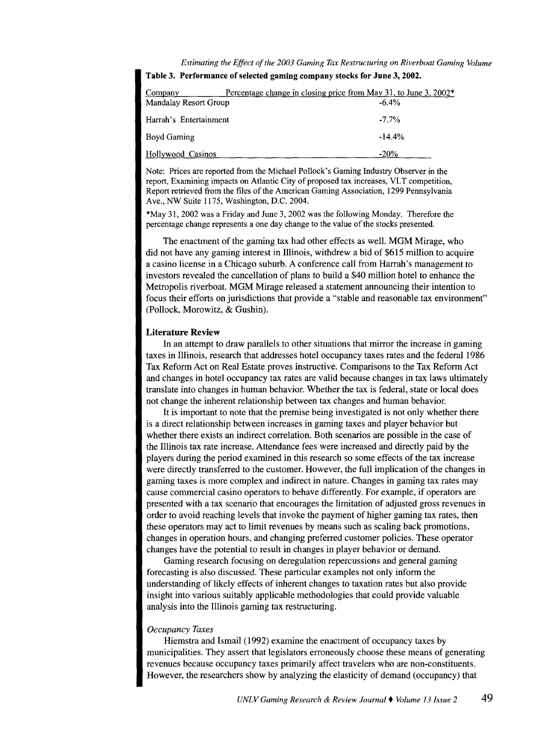*Estimating the Effect of the 2003 Gaming Tax Restructuring on Riverboat Gaming Volume* 

| Company                | Percentage change in closing price from May 31, to June 3, 2002* |
|------------------------|------------------------------------------------------------------|
| Mandalay Resort Group  | $-6.4%$                                                          |
| Harrah's Entertainment | $-7.7\%$                                                         |
| Boyd Gaming            | $-14.4%$                                                         |
| Hollywood Casinos      | $-20%$                                                           |

Table 3. Performance of selected gaming company stocks for June 3, 2002.

Note: Prices are reported from the Michael Pollock's Gaming Industry Observer in the report, Examining impacts on Atlantic City of proposed tax increases, VLT competition, Report retrieved from the files of the American Gaming Association, 1299 Pennsylvania Ave., NW Suite 1175, Washington, D.C. 2004.

\*May 31, 2002 was a Friday and June 3, 2002 was the following Monday. Therefore the percentage change represents a one day change to the value of the stocks presented.

The enactment of the gaming tax had other effects as well. MGM Mirage, who did not have any gaming interest in lllinois, withdrew a bid of \$615 million to acquire a casino license in a Chicago suburb. A conference call from Harrah's management to investors revealed the cancellation of plans to build a \$40 million hotel to enhance the Metropolis riverboat. MGM Mirage released a statement announcing their intention to focus their efforts on jurisdictions that provide a "stable and reasonable tax environment" (Pollock, Morowitz, & Gushin).

## Literature Review

In an attempt to draw parallels to other situations that mirror the increase in gaming taxes in Illinois, research that addresses hotel occupancy taxes rates and the federal 1986 Tax Reform Act on Real Estate proves instructive. Comparisons to the Tax Reform Act and changes in hotel occupancy tax rates are valid because changes in tax laws ultimately translate into changes in human behavior. Whether the tax is federal, state or local does not change the inherent relationship between tax changes and human behavior.

It is important to note that the premise being investigated is not only whether there is a direct relationship between increases in gaming taxes and player behavior but whether there exists an indirect correlation. Both scenarios are possible in the case of the lllinois tax rate increase. Attendance fees were increased and directly paid by the players during the period examined in this research so some effects of the tax increase were directly transferred to the customer. However, the full implication of the changes in gaming taxes is more complex and indirect in nature. Changes in gaming tax rates may cause commercial casino operators to behave differently. For example, if operators are presented with a tax scenario that encourages the limitation of adjusted gross revenues in order to avoid reaching levels that invoke the payment of higher gaming tax rates, then these operators may act to limit revenues by means such as scaling back promotions, changes in operation hours, and changing preferred customer policies. These operator changes have the potential to result in changes in player behavior or demand.

Gaming research focusing on deregulation repercussions and general gaming forecasting is also discussed. These particular examples not only inform the understanding of likely effects of inherent changes to taxation rates but also provide insight into various suitably applicable methodologies that could provide valuable analysis into the Illinois gaming tax restructuring.

#### *Occupancy Taxes*

Hiemstra and Ismail ( 1992) examine the enactment of occupancy taxes by municipalities. They assert that legislators erroneously choose these means of generating revenues because occupancy taxes primarily affect travelers who are non-constituents. However, the researchers show by analyzing the elasticity of demand (occupancy) that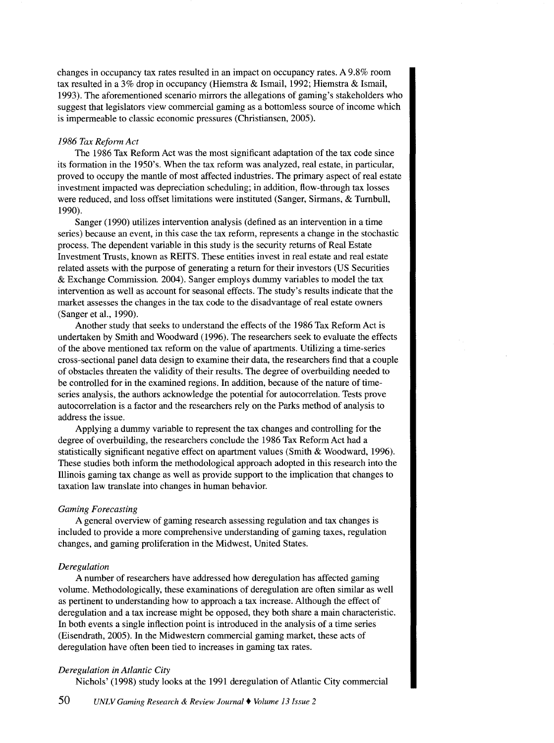changes in occupancy tax rates resulted in an impact on occupancy rates. A 9.8% room tax resulted in a 3% drop in occupancy (Hiemstra & Ismail, 1992; Hiemstra & Ismail, 1993). The aforementioned scenario mirrors the allegations of gaming's stakeholders who suggest that legislators view commercial gaming as a bottomless source of income which is impermeable to classic economic pressures (Christiansen, 2005).

#### *1986 Tax Reform Act*

The 1986 Tax Reform Act was the most significant adaptation of the tax code since its formation in the 1950's. When the tax reform was analyzed, real estate, in particular, proved to occupy the mantle of most affected industries. The primary aspect of real estate investment impacted was depreciation scheduling; in addition, flow-through tax losses were reduced, and loss offset limitations were instituted (Sanger, Sirmans, & Turnbull, 1990).

Sanger (1990) utilizes intervention analysis (defined as an intervention in a time series) because an event, in this case the tax reform, represents a change in the stochastic process. The dependent variable in this study is the security returns of Real Estate Investment Trusts, known as REITS. These entities invest in real estate and real estate related assets with the purpose of generating a return for their investors (US Securities & Exchange Commission. 2004). Sanger employs dummy variables to model the tax intervention as well as account for seasonal effects. The study's results indicate that the market assesses the changes in the tax code to the disadvantage of real estate owners (Sanger et al., 1990).

Another study that seeks to understand the effects of the 1986 Tax Reform Act is undertaken by Smith and Woodward (1996). The researchers seek to evaluate the effects of the above mentioned tax reform on the value of apartments. Utilizing a time-series cross-sectional panel data design to examine their data, the researchers find that a couple of obstacles threaten the validity of their results. The degree of overbuilding needed to be controlled for in the examined regions. In addition, because of the nature of timeseries analysis, the authors acknowledge the potential for autocorrelation. Tests prove autocorrelation is a factor and the researchers rely on the Parks method of analysis to address the issue.

Applying a dummy variable to represent the tax changes and controlling for the degree of overbuilding, the researchers conclude the 1986 Tax Reform Act had a statistically significant negative effect on apartment values (Smith & Woodward, 1996). These studies both inform the methodological approach adopted in this research into the Illinois gaming tax change as well as provide support to the implication that changes to taxation law translate into changes in human behavior.

## *Gaming Forecasting*

A general overview of gaming research assessing regulation and tax changes is included to provide a more comprehensive understanding of gaming taxes, regulation changes, and gaming proliferation in the Midwest, United States.

## *Deregulation*

A number of researchers have addressed how deregulation has affected gaming volume. Methodologically, these examinations of deregulation are often similar as well as pertinent to understanding how to approach a tax increase. Although the effect of deregulation and a tax increase might be opposed, they both share a main characteristic. In both events a single inflection point is introduced in the analysis of a time series (Eisendrath, 2005). In the Midwestern commercial gaming market, these acts of deregulation have often been tied to increases in gaming tax rates.

## *Deregulation in Atlantic City*

Nichols' (1998) study looks at the 1991 deregulation of Atlantic City commercial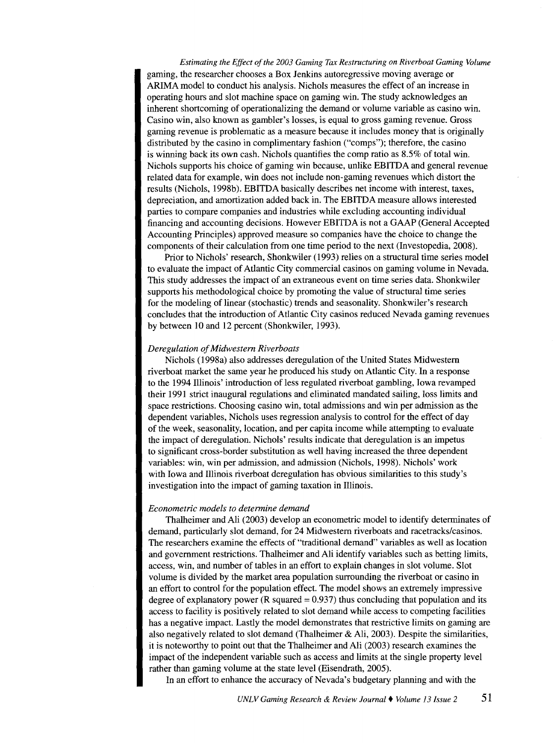*Estimating the Effect of the 2003 Gaming Tax Restructuring on Riverboat Gaming Volume*  gaming, the researcher chooses a Box Jenkins autoregressive moving average or ARIMA model to conduct his analysis. Nichols measures the effect of an increase in operating hours and slot machine space on gaming win. The study acknowledges an inherent shortcoming of operationalizing the demand or volume variable as casino win. Casino win, also known as gambler's losses, is equal to gross gaming revenue. Gross gaming revenue is problematic as a measure because it includes money that is originally distributed by the casino in complimentary fashion ("comps"); therefore, the casino is winning back its own cash. Nichols quantifies the comp ratio as 8.5% of total win. Nichols supports his choice of gaming win because, unlike EBITDA and general revenue related data for example, win does not include non-gaming revenues which distort the results (Nichols, 1998b). EBITDA basically describes net income with interest, taxes, depreciation, and amortization added back in. The EBITDA measure allows interested parties to compare companies and industries while excluding accounting individual financing and accounting decisions. However EBITDA is not a GAAP (General Accepted Accounting Principles) approved measure so companies have the choice to change the components of their calculation from one time period to the next (Investopedia, 2008).

Prior to Nichols' research, Shonkwiler (1993) relies on a structural time series model to evaluate the impact of Atlantic City commercial casinos on gaming volume in Nevada. This study addresses the impact of an extraneous event on time series data. Shonkwiler supports his methodological choice by promoting the value of structural time series for the modeling of linear (stochastic) trends and seasonality. Shonkwiler's research concludes that the introduction of Atlantic City casinos reduced Nevada gaming revenues by between 10 and 12 percent (Shonkwiler, 1993).

#### *Deregulation of Midwestern Riverboats*

Nichols (1998a) also addresses deregulation of the United States Midwestern riverboat market the same year he produced his study on Atlantic City. In a response to the 1994 Illinois' introduction of less regulated riverboat gambling, Iowa revamped their 1991 strict inaugural regulations and eliminated mandated sailing, loss limits and space restrictions. Choosing casino win, total admissions and win per admission as the dependent variables, Nichols uses regression analysis to control for the effect of day of the week, seasonality, location, and per capita income while attempting to evaluate the impact of deregulation. Nichols' results indicate that deregulation is an impetus to significant cross-border substitution as well having increased the three dependent variables: win, win per admission, and admission (Nichols, 1998). Nichols' work with Iowa and Illinois riverboat deregulation has obvious similarities to this study's investigation into the impact of gaming taxation in Illinois.

## *Econometric models to determine demand*

Thalheimer and Ali (2003) develop an econometric model to identify determinates of demand, particularly slot demand, for 24 Midwestern riverboats and racetracks/casinos. The researchers examine the effects of "traditional demand" variables as well as location and government restrictions. Thalheimer and Ali identify variables such as betting limits, access, win, and number of tables in an effort to explain changes in slot volume. Slot volume is divided by the market area population surrounding the riverboat or casino in an effort to control for the population effect. The model shows an extremely impressive degree of explanatory power ( $R$  squared  $= 0.937$ ) thus concluding that population and its access to facility is positively related to slot demand while access to competing facilities has a negative impact. Lastly the model demonstrates that restrictive limits on gaming are also negatively related to slot demand (Thalheimer & Ali, 2003). Despite the similarities, it is noteworthy to point out that the Thalheimer and Ali (2003) research examines the impact of the independent variable such as access and limits at the single property level rather than gaming volume at the state level (Eisendrath, 2005).

In an effort to enhance the accuracy of Nevada's budgetary planning and with the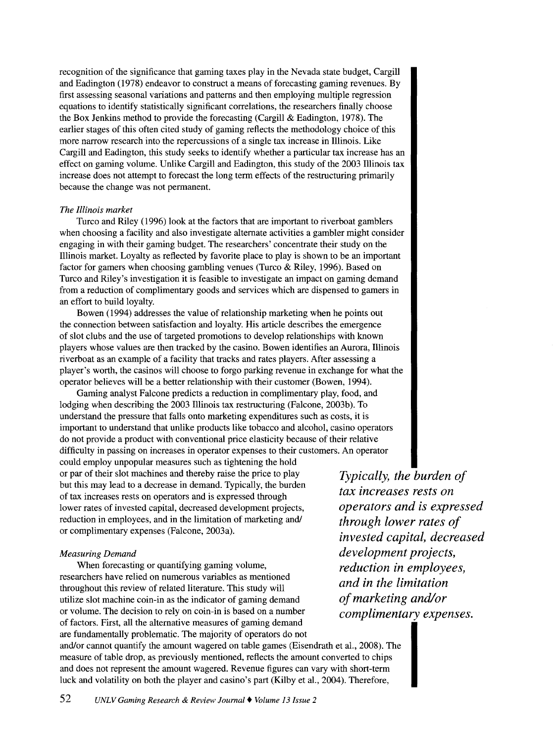recognition of the significance that gaming taxes play in the Nevada state budget, Cargill and Eadington (1978) endeavor to construct a means of forecasting gaming revenues. By first assessing seasonal variations and patterns and then employing multiple regression equations to identify statistically significant correlations, the researchers finally choose the Box Jenkins method to provide the forecasting (Cargill & Eadington, 1978). The earlier stages of this often cited study of gaming reflects the methodology choice of this more narrow research into the repercussions of a single tax increase in Illinois. Like Cargill and Eadington, this study seeks to identify whether a particular tax increase has an effect on gaming volume. Unlike Cargill and Eadington, this study of the 2003 Illinois tax increase does not attempt to forecast the long term effects of the restructuring primarily because the change was not permanent.

#### *The Illinois market*

Turco and Riley (1996) look at the factors that are important to riverboat gamblers when choosing a facility and also investigate alternate activities a gambler might consider engaging in with their gaming budget. The researchers' concentrate their study on the Illinois market. Loyalty as reflected by favorite place to play is shown to be an important factor for gamers when choosing gambling venues (Turco & Riley, 1996). Based on Turco and Riley's investigation it is feasible to investigate an impact on gaming demand from a reduction of complimentary goods and services which are dispensed to garners in an effort to build loyalty.

Bowen ( 1994) addresses the value of relationship marketing when he points out the connection between satisfaction and loyalty. His article describes the emergence of slot clubs and the use of targeted promotions to develop relationships with known players whose values are then tracked by the casino. Bowen identifies an Aurora, Illinois riverboat as an example of a facility that tracks and rates players. After assessing a player's worth, the casinos will choose to forgo parking revenue in exchange for what the operator believes will be a better relationship with their customer (Bowen, 1994).

Gaming analyst Falcone predicts a reduction in complimentary play, food, and lodging when describing the 2003 Illinois tax restructuring (Falcone, 2003b). To understand the pressure that falls onto marketing expenditures such as costs, it is important to understand that unlike products like tobacco and alcohol, casino operators do not provide a product with conventional price elasticity because of their relative difficulty in passing on increases in operator expenses to their customers. An operator could employ unpopular measures such as tightening the hold

or par of their slot machines and thereby raise the price to play but this may lead to a decrease in demand. Typically, the burden of tax increases rests on operators and is expressed through lower rates of invested capital, decreased development projects, reduction in employees, and in the limitation of marketing and/ or complimentary expenses (Falcone, 2003a).

## *Measuring Demand*

When forecasting or quantifying gaming volume, researchers have relied on numerous variables as mentioned throughout this review of related literature. This study will utilize slot machine coin-in as the indicator of gaming demand or volume. The decision to rely on coin-in is based on a number of factors. First, all the alternative measures of gaming demand are fundamentally problematic. The majority of operators do not and/or cannot quantify the amount wagered on table games (Eisendrath et al., 2008). The measure of table drop, as previously mentioned, reflects the amount converted to chips

*Typically, the burden of tax increases rests on operators and is expressed through lower rates of invested capital, decreased development projects, reduction in employees, and in the limitation of marketing and/or complimentary expenses.* 

and does not represent the amount wagered. Revenue figures can vary with short-term luck and volatility on both the player and casino's part (Kilby et al., 2004). Therefore,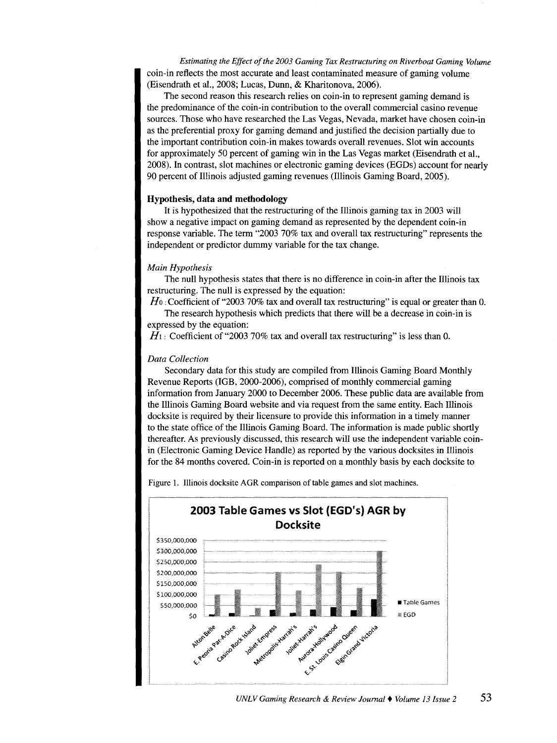*Estimating the Effect of the 2003 Gaming Tax Restructuring on Riverboat Gaming Volume*  coin-in reflects the most accurate and least contaminated measure of gaming volume (Eisendrath et al., 2008; Lucas, Dunn, & Kharitonova, 2006).

The second reason this research relies on coin-in to represent gaming demand is the predominance of the coin-in contribution to the overall commercial casino revenue sources. Those who have researched the Las Vegas, Nevada, market have chosen coin-in as the preferential proxy for gaming demand and justified the decision partially due to the important contribution coin-in makes towards overall revenues. Slot win accounts for approximately 50 percent of gaming win in the Las Vegas market (Eisendrath et al., 2008). In contrast, slot machines or electronic gaming devices (EGDs) account for nearly 90 percent of Illinois adjusted gaming revenues (Illinois Gaming Board, 2005).

## **Hypothesis, data and methodology**

It is hypothesized that the restructuring of the Illinois gaming tax in 2003 will show a negative impact on gaming demand as represented by the dependent coin-in response variable. The term "2003 70% tax and overall tax restructuring" represents the independent or predictor dummy variable for the tax change.

# *Main Hypothesis*

The null hypothesis states that there is no difference in coin-in after the Illinois tax restructuring. The null is expressed by the equation:

*H*<sub>0</sub>: Coefficient of "2003 70% tax and overall tax restructuring" is equal or greater than 0. The research hypothesis which predicts that there will be a decrease in coin-in is

expressed by the equation:

 $H_1$ : Coefficient of "2003 70% tax and overall tax restructuring" is less than 0.

## *Data Collection*

Secondary data for this study are compiled from Illinois Gaming Board Monthly Revenue Reports (1GB, 2000-2006), comprised of monthly commercial gaming information from January 2000 to December 2006. These public data are available from the Illinois Gaming Board website and via request from the same entity. Each Illinois docksite is required by their licensure to provide this information in a timely manner to the state office of the Illinois Gaming Board. The information is made public shortly thereafter. As previously discussed, this research will use the independent variable coinin (Electronic Gaming Device Handle) as reported by the various docksites in Illinois for the 84 months covered. Coin-in is reported on a monthly basis by each docksite to

Figure 1. Illinois docksite AGR comparison of table games and slot machines.

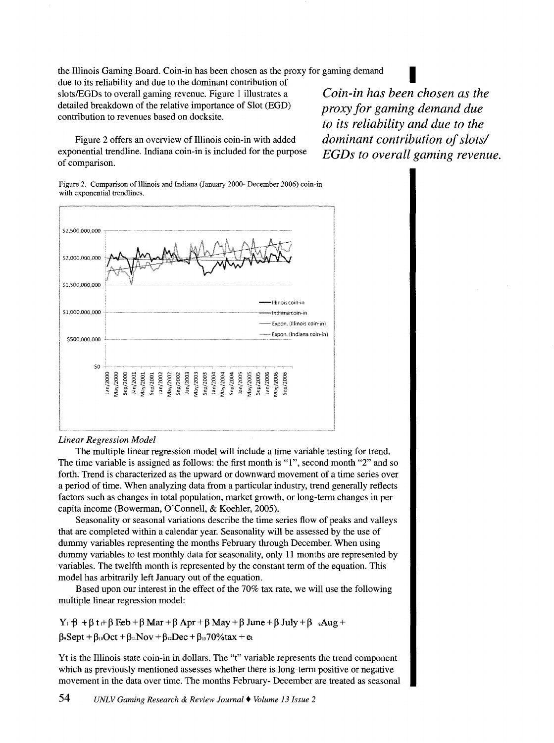the Illinois Gaming Board. Coin-in has been chosen as the proxy for gaming demand due to its reliability and due to the dominant contribution of I slots/EGDs to overall gaming revenue. Figure 1 illustrates a detailed breakdown of the relative importance of Slot (EGD) contribution to revenues based on docksite.

Figure 2 offers an overview of Illinois coin-in with added exponential trendline. Indiana coin-in is included for the purpose of comparison.

*Coin-in has been chosen as the proxy for gaming demand due to its reliability and due to the dominant contribution of slots/ EGDs to overall gaming revenue.* 

Figure 2. Comparison of Illinois and Indiana (January 2000- December 2006) coin-in with exponential trendlines.



# *Linear Regression Model*

The multiple linear regression model will include a time variable testing for trend. The time variable is assigned as follows: the first month is "1", second month "2" and so forth. Trend is characterized as the upward or downward movement of a time series over a period of time. When analyzing data from a particular industry, trend generally reflects factors such as changes in total population, market growth, or long-term changes in per capita income (Bowerman, O'Connell, & Koehler, 2005).

Seasonality or seasonal variations describe the time series flow of peaks and valleys that are completed within a calendar year. Seasonality will be assessed by the use of dummy variables representing the months February through December. When using dummy variables to test monthly data for seasonality, only 11 months are represented by variables. The twelfth month is represented by the constant term of the equation. This model has arbitrarily left January out of the equation.

Based upon our interest in the effect of the 70% tax rate, we will use the following multiple linear regression model:

 $Y_t$   $\beta$  +  $\beta$  t  $\beta$  Feb +  $\beta$  Mar +  $\beta$  Apr +  $\beta$  May +  $\beta$  June +  $\beta$  July +  $\beta$  . Aug +  $\beta_9$ Sept +  $\beta_{10}$ Oct +  $\beta_{11}$ Nov +  $\beta_{12}$ Dec +  $\beta_{13}$ 70%tax + et

Yt is the Illinois state coin-in in dollars. The "t" variable represents the trend component which as previously mentioned assesses whether there is long-term positive or negative movement in the data over time. The months February- December are treated as seasonal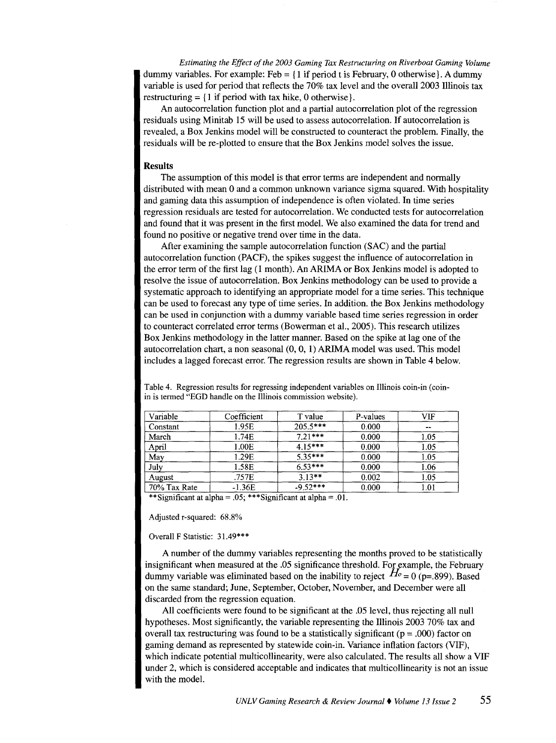*Estimating the Effect of the 2003 Gaming Tax Restructuring on Riverboat Gaming Volume* dummy variables. For example: Feb =  $\{1 \text{ if period t is February, 0 otherwise}\}$ . A dummy variable is used for period that reflects the 70% tax level and the overall 2003 Illinois tax restructuring  $=$  {1 if period with tax hike, 0 otherwise}.

An autocorrelation function plot and a partial autocorrelation plot of the regression residuals using Minitab 15 will be used to assess autocorrelation. If autocorrelation is revealed, a Box Jenkins model will be constructed to counteract the problem. Finally, the residuals will be re-plotted to ensure that the Box Jenkins model solves the issue.

# **Results**

The assumption of this model is that error terms are independent and normally distributed with mean 0 and a common unknown variance sigma squared. With hospitality and gaming data this assumption of independence is often violated. In time series regression residuals are tested for autocorrelation. We conducted tests for autocorrelation and found that it was present in the first model. We also examined the data for trend and found no positive or negative trend over time in the data.

After examining the sample autocorrelation function (SAC) and the partial autocorrelation function (PACF), the spikes suggest the influence of autocorrelation in the error term of the first lag (1 month). An ARIMA or Box Jenkins model is adopted to resolve the issue of autocorrelation. Box Jenkins methodology can be used to provide a systematic approach to identifying an appropriate model for a time series. This technique can be used to forecast any type of time series. In addition. the Box Jenkins methodology can be used in conjunction with a dummy variable based time series regression in order to counteract correlated error terms (Bowerman et al., 2005). This research utilizes Box Jenkins methodology in the latter manner. Based on the spike at lag one of the autocorrelation chart, a non seasonal (0, 0, 1) ARIMA model was used. This model includes a lagged forecast error. The regression results are shown in Table 4 below.

| Coefficient | T value    | P-values              | VIF      |
|-------------|------------|-----------------------|----------|
| 1.95E       | $205.5***$ | 0.000                 | --       |
| 1.74E       | $7.21***$  | 0.000                 | 1.05     |
| 1.00E       | $4.15***$  | 0.000                 | 1.05     |
| 1.29E       |            | 0.000                 | 1.05     |
| 1.58E       | $6.53***$  | 0.000                 | 1.06     |
| .757E       |            | 0.002                 | 1.05     |
| $-1.36E$    | $-9.52***$ | 0.000                 | $1.01\,$ |
|             |            | $5.35***$<br>$3.13**$ |          |

Table 4. Regression results for regressing independent variables on Illinois coin-in (coinin is termed "EGD handle on the Illinois commission website).

\*\*Significant at alpha = .05; \*\*\*Significant at alpha = .01.

Adjusted r-squared: 68.8%

#### Overall F Statistic: 31.49\*\*\*

A number of the dummy variables representing the months proved to be statistically insignificant when measured at the .05 significance threshold. For example, the February dummy variable was eliminated based on the inability to reject  $H_0 = 0$  (p=.899). Based on the same standard; June, September, October, November, and December were all discarded from the regression equation.

All coefficients were found to be significant at the .05 level, thus rejecting all null hypotheses. Most significantly, the variable representing the Illinois 2003 70% tax and overall tax restructuring was found to be a statistically significant ( $p = .000$ ) factor on gaming demand as represented by statewide coin-in. Variance inflation factors (VIF), which indicate potential multicollinearity, were also calculated. The results all show a VIF under 2, which is considered acceptable and indicates that multicollinearity is not an issue with the model.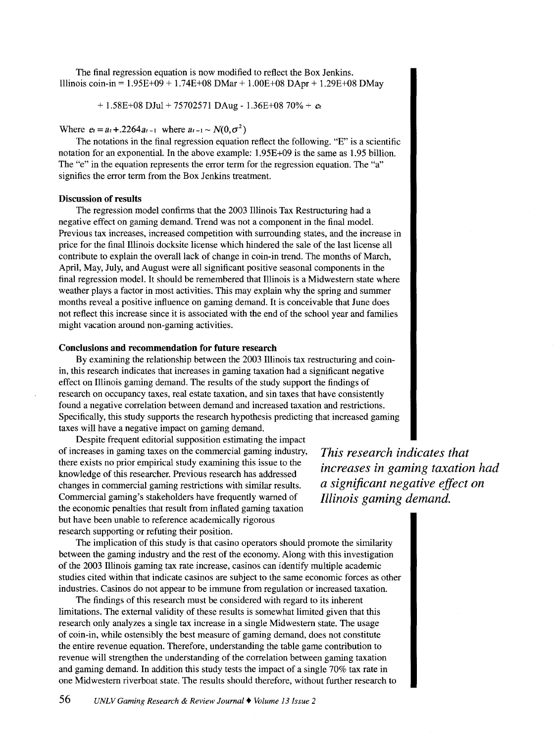The final regression equation is now modified to reflect the Box Jenkins. Illinois coin-in =  $1.95E+09 + 1.74E+08$  DMar +  $1.00E+08$  DApr +  $1.29E+08$  DMay

+ 1.58E+08 DJul + 75702571 DAug- 1.36E+08 70% + *et* 

Where  $e_t = a_t + 0.2264 a_{t-1}$  where  $a_{t-1} \sim N(0, \sigma^2)$ 

The notations in the final regression equation reflect the following. "E" is a scientific notation for an exponential. In the above example: 1.95E+09 is the same as 1.95 billion. The "e" in the equation represents the error term for the regression equation. The "a" signifies the error term from the Box Jenkins treatment.

## **Discussion of results**

The regression model confirms that the 2003 Illinois Tax Restructuring had a negative effect on gaming demand. Trend was not a component in the final model. Previous tax increases, increased competition with surrounding states, and the increase in price for the final Illinois docksite license which hindered the sale of the last license all contribute to explain the overall lack of change in coin-in trend. The months of March, April, May, July, and August were all significant positive seasonal components in the final regression model. It should be remembered that Illinois is a Midwestern state where weather plays a factor in most activities. This may explain why the spring and summer months reveal a positive influence on gaming demand. It is conceivable that June does not reflect this increase since it is associated with the end of the school year and families might vacation around non-gaming activities.

#### **Conclusions and recommendation for future research**

By examining the relationship between the 2003 Illinois tax restructuring and coinin, this research indicates that increases in gaming taxation had a significant negative effect on Illinois gaming demand. The results of the study support the findings of research on occupancy taxes, real estate taxation, and sin taxes that have consistently found a negative correlation between demand and increased taxation and restrictions. Specifically, this study supports the research hypothesis predicting that increased gaming taxes will have a negative impact on gaming demand.

Despite frequent editorial supposition estimating the impact of increases in gaming taxes on the commercial gaming industry, *This research indicates that*  there exists no prior empirical study examining this issue to the knowledge of this researcher. Previous research has addressed changes in commercial gaming restrictions with similar results. Commercial gaming's stakeholders have frequently warned of the economic penalties that result from inflated gaming taxation but have been unable to reference academically rigorous research supporting or refuting their position.

The implication of this study is that casino operators should promote the similarity between the gaming industry and the rest of the economy. Along with this investigation of the 2003 Illinois gaming tax rate increase, casinos can identify multiple academic studies cited within that indicate casinos are subject to the same economic forces as other industries. Casinos do not appear to be immune from regulation or increased taxation.

The findings of this research must be considered with regard to its inherent limitations. The external validity of these results is somewhat limited given that this research only analyzes a single tax increase in a single Midwestern state. The usage of coin-in, while ostensibly the best measure of gaming demand, does not constitute the entire revenue equation. Therefore, understanding the table game contribution to revenue will strengthen the understanding of the correlation between gaming taxation and gaming demand. In addition this study tests the impact of a single 70% tax rate in one Midwestern riverboat state. The results should therefore, without further research to

*increases in gaming taxation had a significant negative effect on Illinois gaming demand.*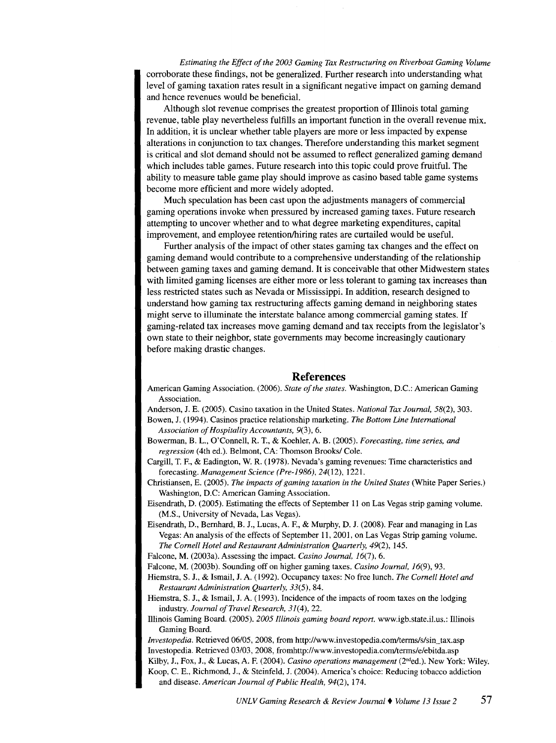*Estimating the Effect of the 2003 Gaming Tax Restructuring on Riverboat Gaming Volume*  corroborate these findings, not be generalized. Further research into understanding what level of gaming taxation rates result in a significant negative impact on gaming demand and hence revenues would be beneficial.

Although slot revenue comprises the greatest proportion of Illinois total gaming revenue, table play nevertheless fulfills an important function in the overall revenue mix. In addition, it is unclear whether table players are more or less impacted by expense alterations in conjunction to tax changes. Therefore understanding this market segment is critical and slot demand should not be assumed to reflect generalized gaming demand which includes table games. Future research into this topic could prove fruitful. The ability to measure table game play should improve as casino based table game systems become more efficient and more widely adopted.

Much speculation has been cast upon the adjustments managers of commercial gaming operations invoke when pressured by increased gaming taxes. Future research attempting to uncover whether and to what degree marketing expenditures, capital improvement, and employee retention/hiring rates are curtailed would be useful.

Further analysis of the impact of other states gaming tax changes and the effect on gaming demand would contribute to a comprehensive understanding of the relationship between gaming taxes and gaming demand. It is conceivable that other Midwestern states with limited gaming licenses are either more or less tolerant to gaming tax increases than less restricted states such as Nevada or Mississippi. In addition, research designed to understand how gaming tax restructuring affects gaming demand in neighboring states might serve to illuminate the interstate balance among commercial gaming states. If gaming-related tax increases move gaming demand and tax receipts from the legislator's own state to their neighbor, state governments may become increasingly cautionary before making drastic changes.

## **References**

American Gaming Association. (2006). *State of the states.* Washington, D.C.: American Gaming Association.

Anderson, J. E. (2005). Casino taxation in the United States. *National Tax Journal,* 58(2), 303.

- Bowen, J. (1994). Casinos practice relationship marketing. *The Bottom Line International Association of Hospitality Accountants,* 9(3), 6.
- Bowerman, B. L., O'Connell, R. T., & Koehler, A. B. (2005). *Forecasting, time series, and regression* (4th ed.). Belmont, CA: Thomson Brooks/ Cole.
- Cargill, T. F., & Eadington, W. R. (1978). Nevada's gaming revenues: Time characteristics and forecasting. *Management Science (Pre-1986),* 24(12), 1221.
- Christiansen, E. (2005). *The impacts of gaming taxation in the United States* (White Paper Series.) Washington, D.C: American Gaming Association.
- Eisendrath, D. (2005). Estimating the effects of September 11 on Las Vegas strip gaming volume. (M.S., University of Nevada, Las Vegas).
- Eisendrath, D., Bernhard, B. J., Lucas, A. F., & Murphy, D. J. (2008). Fear and managing in Las Vegas: An analysis of the effects of September 11, 2001, on Las Vegas Strip gaming volume. *The Cornell Hotel and Restaurant Administration Quarterly,* 49(2), 145.

Falcone, M. (2003a). Assessing the impact. *Casino Journal,* 16(7), 6.

- Falcone, M. (2003b). Sounding off on higher gaming taxes. *Casino Journal, 16(9),* 93.
- Hiemstra, S. J., & Ismail, J. A. (1992). Occupancy taxes: No free lunch. *The Cornell Hotel and Restaurant Administration Quarterly, 33(5),* 84.
- Hiemstra, S. J., & Ismail, J. A. (1993). Incidence of the impacts of room taxes on the lodging industry. *Journal of Travel Research, 31(4),* 22.
- lllinois Gaming Board. (2005). *2005 Illinois gaming board report.* www.igb.state.il.us.: Illinois Gaming Board.

*Investopedia.* Retrieved 06/05, 2008, from http://www.investopedia.com/terms/s/sin\_tax.asp Investopedia. Retrieved 03/03, 2008, fromhttp://www.investopedia.com/terms/e/ebitda.asp Kilby, J., Fox, J., & Lucas, A. F. (2004). *Casino operations management* (2nded.). New York: Wiley. Koop, C. E., Richmond, J., & Steinfeld, J. (2004). America's choice: Reducing tobacco addiction and disease. *American Journal of Public Health, 94(2),* 174.